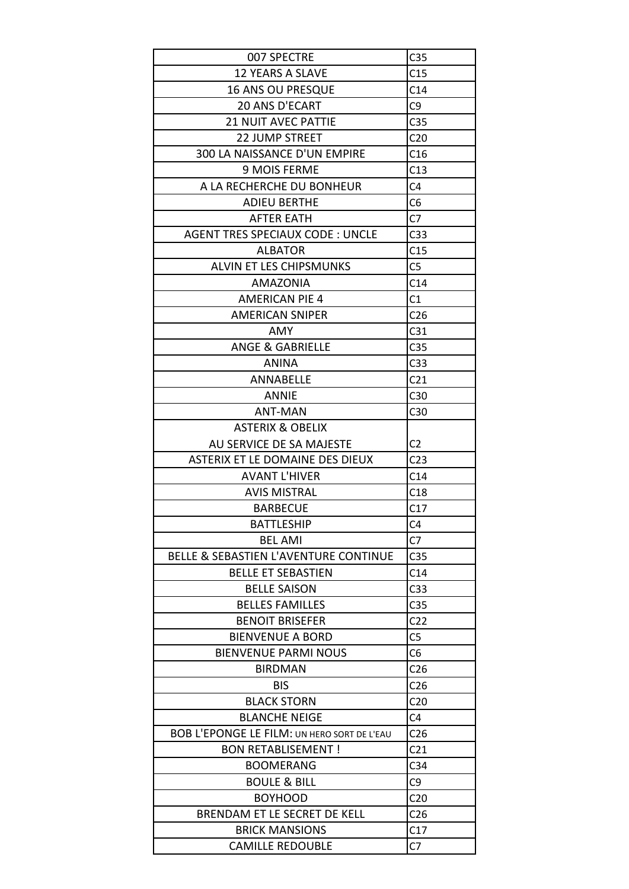| 007 SPECTRE                                        | C <sub>35</sub> |
|----------------------------------------------------|-----------------|
| <b>12 YEARS A SLAVE</b>                            | C15             |
| <b>16 ANS OU PRESQUE</b>                           | C14             |
| <b>20 ANS D'ECART</b>                              | C <sub>9</sub>  |
| <b>21 NUIT AVEC PATTIE</b>                         | C <sub>35</sub> |
|                                                    |                 |
| <b>22 JUMP STREET</b>                              | C <sub>20</sub> |
| 300 LA NAISSANCE D'UN EMPIRE                       | C16             |
| <b>9 MOIS FERME</b>                                | C13             |
| A LA RECHERCHE DU BONHEUR                          | C <sub>4</sub>  |
| <b>ADIEU BERTHE</b>                                | C <sub>6</sub>  |
| AFTER EATH                                         | C <sub>7</sub>  |
| <b>AGENT TRES SPECIAUX CODE: UNCLE</b>             | C <sub>33</sub> |
| <b>ALBATOR</b>                                     | C15             |
| <b>ALVIN ET LES CHIPSMUNKS</b>                     | C <sub>5</sub>  |
| <b>AMAZONIA</b>                                    | C14             |
| <b>AMERICAN PIE 4</b>                              | C1              |
| <b>AMERICAN SNIPER</b>                             | C <sub>26</sub> |
| AMY                                                | C <sub>31</sub> |
| <b>ANGE &amp; GABRIELLE</b>                        | C <sub>35</sub> |
| <b>ANINA</b>                                       | C <sub>33</sub> |
| ANNABELLE                                          | C <sub>21</sub> |
| <b>ANNIE</b>                                       | C <sub>30</sub> |
| <b>ANT-MAN</b>                                     | C30             |
| <b>ASTERIX &amp; OBELIX</b>                        |                 |
| AU SERVICE DE SA MAJESTE                           | C <sub>2</sub>  |
|                                                    |                 |
| ASTERIX ET LE DOMAINE DES DIEUX                    | C <sub>23</sub> |
| <b>AVANT L'HIVER</b>                               | C14             |
| <b>AVIS MISTRAL</b>                                | C18             |
| <b>BARBECUE</b>                                    | C17             |
| <b>BATTLESHIP</b>                                  | C4              |
| <b>BEL AMI</b>                                     | C <sub>7</sub>  |
|                                                    |                 |
| BELLE & SEBASTIEN L'AVENTURE CONTINUE              | C <sub>35</sub> |
| <b>BELLE ET SEBASTIEN</b>                          | C <sub>14</sub> |
| <b>BELLE SAISON</b>                                | C <sub>33</sub> |
| <b>BELLES FAMILLES</b>                             | C <sub>35</sub> |
| <b>BENOIT BRISEFER</b>                             | C <sub>22</sub> |
| <b>BIENVENUE A BORD</b>                            | C <sub>5</sub>  |
| <b>BIENVENUE PARMI NOUS</b>                        | C <sub>6</sub>  |
| <b>BIRDMAN</b>                                     | C <sub>26</sub> |
| <b>BIS</b>                                         | C <sub>26</sub> |
| <b>BLACK STORN</b>                                 | C <sub>20</sub> |
| <b>BLANCHE NEIGE</b>                               | C <sub>4</sub>  |
| <b>BOB L'EPONGE LE FILM: UN HERO SORT DE L'EAU</b> | C <sub>26</sub> |
| <b>BON RETABLISEMENT!</b>                          | C <sub>21</sub> |
| <b>BOOMERANG</b>                                   | C <sub>34</sub> |
| <b>BOULE &amp; BILL</b>                            | C <sub>9</sub>  |
| <b>BOYHOOD</b>                                     | C <sub>20</sub> |
| BRENDAM ET LE SECRET DE KELL                       | C <sub>26</sub> |
| <b>BRICK MANSIONS</b><br><b>CAMILLE REDOUBLE</b>   | C17<br>C7       |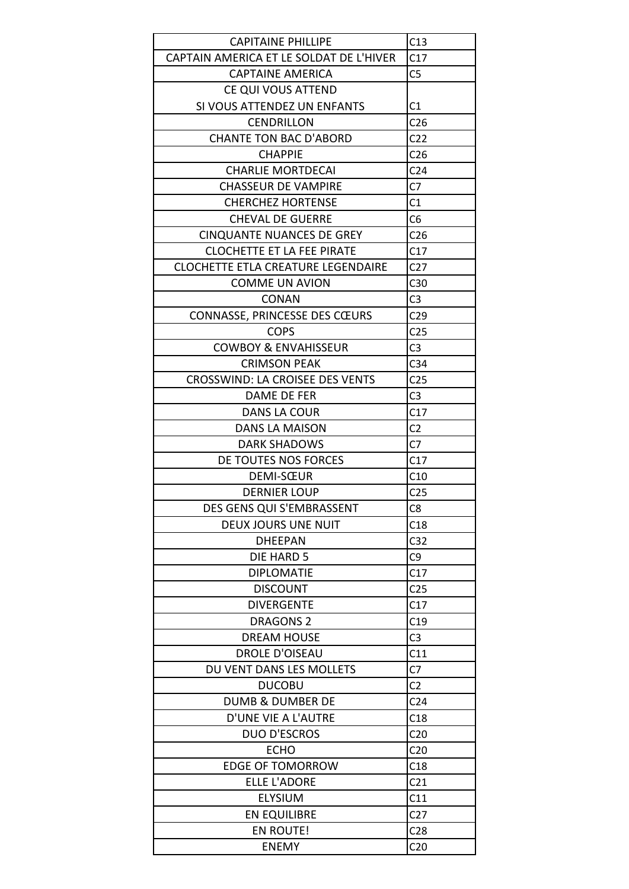| <b>CAPITAINE PHILLIPE</b>                 | C13             |
|-------------------------------------------|-----------------|
| CAPTAIN AMERICA ET LE SOLDAT DE L'HIVER   | C17             |
| <b>CAPTAINE AMERICA</b>                   | C <sub>5</sub>  |
| CE QUI VOUS ATTEND                        |                 |
| SI VOUS ATTENDEZ UN ENFANTS               | C1              |
| <b>CENDRILLON</b>                         | C <sub>26</sub> |
| <b>CHANTE TON BAC D'ABORD</b>             | C <sub>22</sub> |
| <b>CHAPPIE</b>                            | C <sub>26</sub> |
| <b>CHARLIE MORTDECAI</b>                  | C <sub>24</sub> |
| <b>CHASSEUR DE VAMPIRE</b>                | C <sub>7</sub>  |
| <b>CHERCHEZ HORTENSE</b>                  | C <sub>1</sub>  |
| <b>CHEVAL DE GUERRE</b>                   | C <sub>6</sub>  |
| <b>CINQUANTE NUANCES DE GREY</b>          | C <sub>26</sub> |
| <b>CLOCHETTE ET LA FEE PIRATE</b>         | C17             |
| <b>CLOCHETTE ETLA CREATURE LEGENDAIRE</b> | C <sub>27</sub> |
| <b>COMME UN AVION</b>                     | C <sub>30</sub> |
| <b>CONAN</b>                              | C <sub>3</sub>  |
| CONNASSE, PRINCESSE DES CŒURS             | C <sub>29</sub> |
| <b>COPS</b>                               | C <sub>25</sub> |
| <b>COWBOY &amp; ENVAHISSEUR</b>           | C <sub>3</sub>  |
| <b>CRIMSON PEAK</b>                       | C <sub>34</sub> |
| CROSSWIND: LA CROISEE DES VENTS           | C <sub>25</sub> |
| DAME DE FER                               | C <sub>3</sub>  |
| DANS LA COUR                              | C17             |
| <b>DANS LA MAISON</b>                     | C <sub>2</sub>  |
| <b>DARK SHADOWS</b>                       | C <sub>7</sub>  |
| DE TOUTES NOS FORCES                      | C17             |
| DEMI-SŒUR                                 | C10             |
| <b>DERNIER LOUP</b>                       | C <sub>25</sub> |
| DES GENS QUI S'EMBRASSENT                 | C <sub>8</sub>  |
| <b>DEUX JOURS UNE NUIT</b>                | C18             |
| <b>DHEEPAN</b>                            | C <sub>32</sub> |
| DIE HARD 5                                | C <sub>9</sub>  |
| <b>DIPLOMATIE</b>                         | C17             |
| <b>DISCOUNT</b>                           | C <sub>25</sub> |
| <b>DIVERGENTE</b>                         | C17             |
| <b>DRAGONS 2</b>                          | C19             |
| <b>DREAM HOUSE</b>                        | C <sub>3</sub>  |
| <b>DROLE D'OISEAU</b>                     | C11             |
| DU VENT DANS LES MOLLETS                  | C7              |
| <b>DUCOBU</b>                             |                 |
|                                           | C <sub>2</sub>  |
| <b>DUMB &amp; DUMBER DE</b>               | C <sub>24</sub> |
| D'UNE VIE A L'AUTRE                       | C18             |
| <b>DUO D'ESCROS</b>                       | C <sub>20</sub> |
| <b>ECHO</b>                               | C <sub>20</sub> |
| <b>EDGE OF TOMORROW</b>                   | C18             |
| <b>ELLE L'ADORE</b>                       | C <sub>21</sub> |
| <b>ELYSIUM</b>                            | C11             |
| <b>EN EQUILIBRE</b>                       | C <sub>27</sub> |
| EN ROUTE!                                 | C <sub>28</sub> |
| <b>ENEMY</b>                              | C <sub>20</sub> |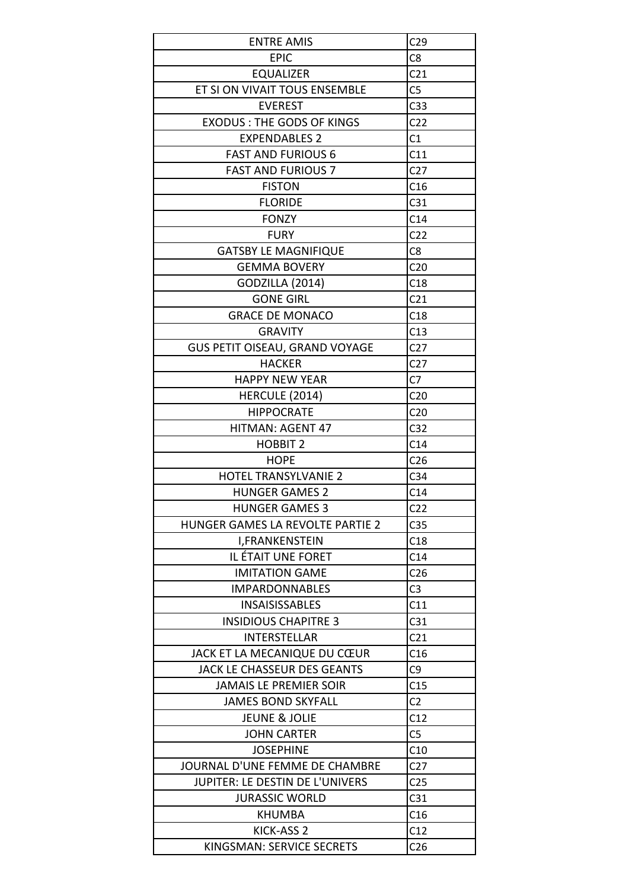| <b>ENTRE AMIS</b>                     | C <sub>29</sub> |
|---------------------------------------|-----------------|
| <b>EPIC</b>                           | C8              |
| <b>EQUALIZER</b>                      | C <sub>21</sub> |
| ET SI ON VIVAIT TOUS ENSEMBLE         | C <sub>5</sub>  |
| <b>EVEREST</b>                        | C <sub>33</sub> |
| <b>EXODUS: THE GODS OF KINGS</b>      | C <sub>22</sub> |
| <b>EXPENDABLES 2</b>                  | C1              |
| <b>FAST AND FURIOUS 6</b>             | C11             |
|                                       | C <sub>27</sub> |
| <b>FAST AND FURIOUS 7</b>             |                 |
| <b>FISTON</b>                         | C16             |
| <b>FLORIDE</b>                        | C31             |
| <b>FONZY</b>                          | C14             |
| <b>FURY</b>                           | C <sub>22</sub> |
| <b>GATSBY LE MAGNIFIQUE</b>           | C8              |
| <b>GEMMA BOVERY</b>                   | C <sub>20</sub> |
| <b>GODZILLA (2014)</b>                | C18             |
| <b>GONE GIRL</b>                      | C <sub>21</sub> |
| <b>GRACE DE MONACO</b>                | C18             |
| <b>GRAVITY</b>                        | C13             |
| <b>GUS PETIT OISEAU, GRAND VOYAGE</b> | C <sub>27</sub> |
| <b>HACKER</b>                         | C <sub>27</sub> |
| <b>HAPPY NEW YEAR</b>                 | C7              |
| HERCULE (2014)                        | C <sub>20</sub> |
| <b>HIPPOCRATE</b>                     | C <sub>20</sub> |
| <b>HITMAN: AGENT 47</b>               | C <sub>32</sub> |
| <b>HOBBIT 2</b>                       | C14             |
| <b>HOPE</b>                           | C <sub>26</sub> |
| <b>HOTEL TRANSYLVANIE 2</b>           | C <sub>34</sub> |
| <b>HUNGER GAMES 2</b>                 | C14             |
| <b>HUNGER GAMES 3</b>                 | C <sub>22</sub> |
| HUNGER GAMES LA REVOLTE PARTIE 2      | C <sub>35</sub> |
| I, FRANKENSTEIN                       | C18             |
| IL ÉTAIT UNE FORET                    | C14             |
| <b>IMITATION GAME</b>                 | C <sub>26</sub> |
| <b>IMPARDONNABLES</b>                 | C <sub>3</sub>  |
| <b>INSAISISSABLES</b>                 | C11             |
| <b>INSIDIOUS CHAPITRE 3</b>           | C <sub>31</sub> |
| <b>INTERSTELLAR</b>                   | C <sub>21</sub> |
| JACK ET LA MECANIQUE DU CŒUR          | C16             |
| JACK LE CHASSEUR DES GEANTS           | C <sub>9</sub>  |
| <b>JAMAIS LE PREMIER SOIR</b>         | C15             |
| <b>JAMES BOND SKYFALL</b>             | C <sub>2</sub>  |
| <b>JEUNE &amp; JOLIE</b>              | C12             |
| <b>JOHN CARTER</b>                    | C <sub>5</sub>  |
| <b>JOSEPHINE</b>                      | C10             |
| JOURNAL D'UNE FEMME DE CHAMBRE        | C <sub>27</sub> |
| JUPITER: LE DESTIN DE L'UNIVERS       | C <sub>25</sub> |
| <b>JURASSIC WORLD</b>                 | C <sub>31</sub> |
| KHUMBA                                | C16             |
|                                       | C12             |
| KICK-ASS 2                            |                 |
| KINGSMAN: SERVICE SECRETS             | C <sub>26</sub> |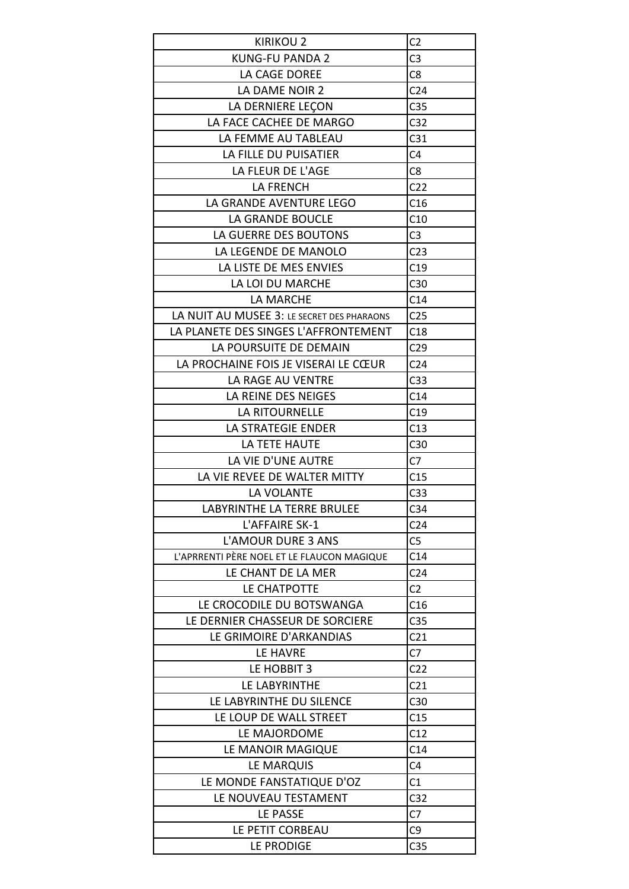| <b>KIRIKOU 2</b>                           | C <sub>2</sub>  |
|--------------------------------------------|-----------------|
| <b>KUNG-FU PANDA 2</b>                     | C <sub>3</sub>  |
| LA CAGE DOREE                              | C <sub>8</sub>  |
| LA DAME NOIR 2                             | C <sub>24</sub> |
| LA DERNIERE LEÇON                          | C <sub>35</sub> |
| LA FACE CACHEE DE MARGO                    | C <sub>32</sub> |
| LA FEMME AU TABLEAU                        | C <sub>31</sub> |
| LA FILLE DU PUISATIER                      | C <sub>4</sub>  |
|                                            |                 |
| LA FLEUR DE L'AGE<br><b>LA FRENCH</b>      | C <sub>8</sub>  |
|                                            | C <sub>22</sub> |
| LA GRANDE AVENTURE LEGO                    | C16             |
| LA GRANDE BOUCLE                           | C10             |
| LA GUERRE DES BOUTONS                      | C <sub>3</sub>  |
| LA LEGENDE DE MANOLO                       | C <sub>23</sub> |
| LA LISTE DE MES ENVIES                     | C19             |
| LA LOI DU MARCHE                           | C30             |
| LA MARCHE                                  | C <sub>14</sub> |
| LA NUIT AU MUSEE 3: LE SECRET DES PHARAONS | C <sub>25</sub> |
| LA PLANETE DES SINGES L'AFFRONTEMENT       | C18             |
| LA POURSUITE DE DEMAIN                     | C <sub>29</sub> |
| LA PROCHAINE FOIS JE VISERAI LE CŒUR       | C <sub>24</sub> |
| LA RAGE AU VENTRE                          | C <sub>33</sub> |
| LA REINE DES NEIGES                        | C <sub>14</sub> |
| LA RITOURNELLE                             | C19             |
| LA STRATEGIE ENDER                         | C13             |
| LA TETE HAUTE                              | C <sub>30</sub> |
| LA VIE D'UNE AUTRE                         | C <sub>7</sub>  |
| LA VIE REVEE DE WALTER MITTY               | C15             |
| <b>LA VOLANTE</b>                          | C <sub>33</sub> |
| LABYRINTHE LA TERRE BRULEE                 | C <sub>34</sub> |
| L'AFFAIRE SK-1                             | C <sub>24</sub> |
| <b>L'AMOUR DURE 3 ANS</b>                  | C <sub>5</sub>  |
| L'APRRENTI PÈRE NOEL ET LE FLAUCON MAGIQUE | C14             |
| LE CHANT DE LA MER                         |                 |
|                                            | C <sub>24</sub> |
| LE CHATPOTTE                               | C <sub>2</sub>  |
| LE CROCODILE DU BOTSWANGA                  | C16             |
| LE DERNIER CHASSEUR DE SORCIERE            | C <sub>35</sub> |
| LE GRIMOIRE D'ARKANDIAS                    | C <sub>21</sub> |
| LE HAVRE                                   | C7              |
| LE HOBBIT 3                                | C <sub>22</sub> |
| LE LABYRINTHE                              | C <sub>21</sub> |
| LE LABYRINTHE DU SILENCE                   | C30             |
| LE LOUP DE WALL STREET                     | C15             |
| LE MAJORDOME                               | C12             |
| LE MANOIR MAGIQUE                          | C14             |
| LE MARQUIS                                 | C <sub>4</sub>  |
| LE MONDE FANSTATIQUE D'OZ                  | C <sub>1</sub>  |
| LE NOUVEAU TESTAMENT                       | C <sub>32</sub> |
| LE PASSE                                   | C7              |
| LE PETIT CORBEAU                           | C <sub>9</sub>  |
| LE PRODIGE                                 | C <sub>35</sub> |
|                                            |                 |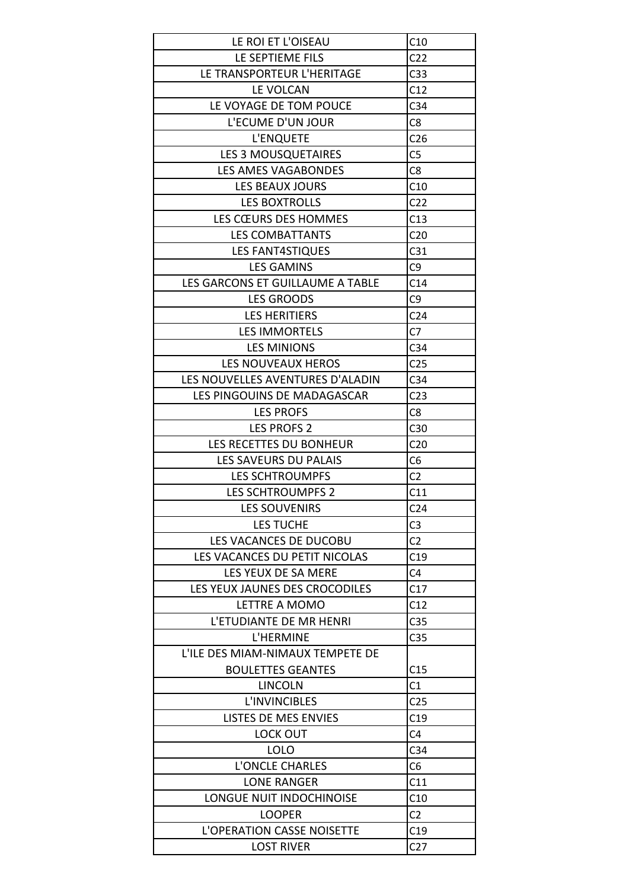| LE ROI ET L'OISEAU                | C10             |
|-----------------------------------|-----------------|
| LE SEPTIEME FILS                  | C <sub>22</sub> |
| LE TRANSPORTEUR L'HERITAGE        | C <sub>33</sub> |
| LE VOLCAN                         | C12             |
| LE VOYAGE DE TOM POUCE            | C <sub>34</sub> |
| L'ECUME D'UN JOUR                 | C <sub>8</sub>  |
| L'ENQUETE                         | C <sub>26</sub> |
| LES 3 MOUSQUETAIRES               | C <sub>5</sub>  |
| <b>LES AMES VAGABONDES</b>        | C <sub>8</sub>  |
| LES BEAUX JOURS                   | C10             |
| LES BOXTROLLS                     | C <sub>22</sub> |
| LES CŒURS DES HOMMES              | C13             |
| <b>LES COMBATTANTS</b>            | C <sub>20</sub> |
| <b>LES FANT4STIQUES</b>           | C31             |
| <b>LES GAMINS</b>                 | C <sub>9</sub>  |
| LES GARCONS ET GUILLAUME A TABLE  | C14             |
| <b>LES GROODS</b>                 | C <sub>9</sub>  |
| <b>LES HERITIERS</b>              | C <sub>24</sub> |
| <b>LES IMMORTELS</b>              | C7              |
| <b>LES MINIONS</b>                | C <sub>34</sub> |
| LES NOUVEAUX HEROS                | C <sub>25</sub> |
| LES NOUVELLES AVENTURES D'ALADIN  | C <sub>34</sub> |
| LES PINGOUINS DE MADAGASCAR       | C <sub>23</sub> |
| <b>LES PROFS</b>                  | C <sub>8</sub>  |
| <b>LES PROFS 2</b>                | C <sub>30</sub> |
| LES RECETTES DU BONHEUR           | C <sub>20</sub> |
| LES SAVEURS DU PALAIS             | C6              |
| <b>LES SCHTROUMPFS</b>            | C <sub>2</sub>  |
| <b>LES SCHTROUMPFS 2</b>          | C11             |
|                                   |                 |
| <b>LES SOUVENIRS</b>              | C <sub>24</sub> |
| LES TUCHE                         | C <sub>3</sub>  |
| LES VACANCES DE DUCOBU            | C <sub>2</sub>  |
| LES VACANCES DU PETIT NICOLAS     | C19             |
| LES YEUX DE SA MERE               | C4              |
| LES YEUX JAUNES DES CROCODILES    | C17             |
| LETTRE A MOMO                     | C12             |
| L'ETUDIANTE DE MR HENRI           | C <sub>35</sub> |
| L'HERMINE                         | C <sub>35</sub> |
| L'ILE DES MIAM-NIMAUX TEMPETE DE  |                 |
| <b>BOULETTES GEANTES</b>          | C15             |
| <b>LINCOLN</b>                    | C1              |
| <b>L'INVINCIBLES</b>              | C <sub>25</sub> |
| LISTES DE MES ENVIES              | C19             |
| LOCK OUT                          | C <sub>4</sub>  |
| <b>LOLO</b>                       | C <sub>34</sub> |
| L'ONCLE CHARLES                   | C <sub>6</sub>  |
| <b>LONE RANGER</b>                | C11             |
| LONGUE NUIT INDOCHINOISE          | C10             |
| <b>LOOPER</b>                     | C <sub>2</sub>  |
| <b>L'OPERATION CASSE NOISETTE</b> | C19             |
| <b>LOST RIVER</b>                 | C <sub>27</sub> |
|                                   |                 |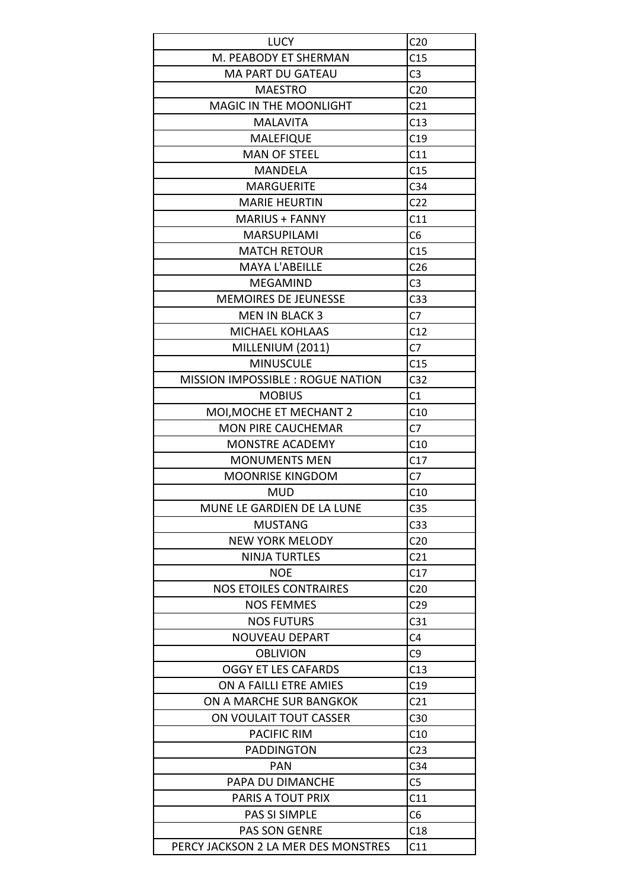| <b>LUCY</b>                                  | C <sub>20</sub> |
|----------------------------------------------|-----------------|
| M. PEABODY ET SHERMAN                        | C15             |
| <b>MA PART DU GATEAU</b>                     | C <sub>3</sub>  |
| <b>MAESTRO</b>                               | C <sub>20</sub> |
|                                              | C <sub>21</sub> |
| <b>MAGIC IN THE MOONLIGHT</b>                |                 |
| <b>MALAVITA</b>                              | C13             |
| <b>MALEFIQUE</b>                             | C19             |
| <b>MAN OF STEEL</b>                          | C11             |
| <b>MANDELA</b>                               | C15             |
| <b>MARGUERITE</b>                            | C <sub>34</sub> |
| <b>MARIE HEURTIN</b>                         | C <sub>22</sub> |
| <b>MARIUS + FANNY</b>                        | C11             |
| <b>MARSUPILAMI</b>                           | C6              |
| <b>MATCH RETOUR</b>                          | C15             |
| <b>MAYA L'ABEILLE</b>                        | C <sub>26</sub> |
| <b>MEGAMIND</b>                              | C <sub>3</sub>  |
| <b>MEMOIRES DE JEUNESSE</b>                  | C <sub>33</sub> |
| <b>MEN IN BLACK 3</b>                        | C <sub>7</sub>  |
| <b>MICHAEL KOHLAAS</b>                       | C12             |
| MILLENIUM (2011)                             | C <sub>7</sub>  |
| <b>MINUSCULE</b>                             | C15             |
| MISSION IMPOSSIBLE : ROGUE NATION            | C <sub>32</sub> |
| <b>MOBIUS</b>                                | C1              |
| MOI, MOCHE ET MECHANT 2                      | C10             |
| <b>MON PIRE CAUCHEMAR</b>                    | C7              |
| <b>MONSTRE ACADEMY</b>                       | C10             |
| <b>MONUMENTS MEN</b>                         | C17             |
| <b>MOONRISE KINGDOM</b>                      | C <sub>7</sub>  |
| <b>MUD</b>                                   | C10             |
|                                              |                 |
| MUNE LE GARDIEN DE LA LUNE<br><b>MUSTANG</b> | C <sub>35</sub> |
|                                              | C <sub>33</sub> |
| <b>NEW YORK MELODY</b>                       | C <sub>20</sub> |
| <b>NINJA TURTLES</b>                         | C <sub>21</sub> |
| <b>NOE</b>                                   | C17             |
| <b>NOS ETOILES CONTRAIRES</b>                | C <sub>20</sub> |
| <b>NOS FEMMES</b>                            | C <sub>29</sub> |
| <b>NOS FUTURS</b>                            | C <sub>31</sub> |
| <b>NOUVEAU DEPART</b>                        | C <sub>4</sub>  |
| <b>OBLIVION</b>                              | C9              |
| <b>OGGY ET LES CAFARDS</b>                   | C13             |
| ON A FAILLI ETRE AMIES                       | C19             |
| ON A MARCHE SUR BANGKOK                      | C <sub>21</sub> |
| ON VOULAIT TOUT CASSER                       | C <sub>30</sub> |
| <b>PACIFIC RIM</b>                           | C10             |
| <b>PADDINGTON</b>                            | C <sub>23</sub> |
| PAN                                          | C <sub>34</sub> |
| PAPA DU DIMANCHE                             | C5              |
| PARIS A TOUT PRIX                            | C11             |
| PAS SI SIMPLE                                | C <sub>6</sub>  |
| <b>PAS SON GENRE</b>                         | C18             |
| PERCY JACKSON 2 LA MER DES MONSTRES          | C11             |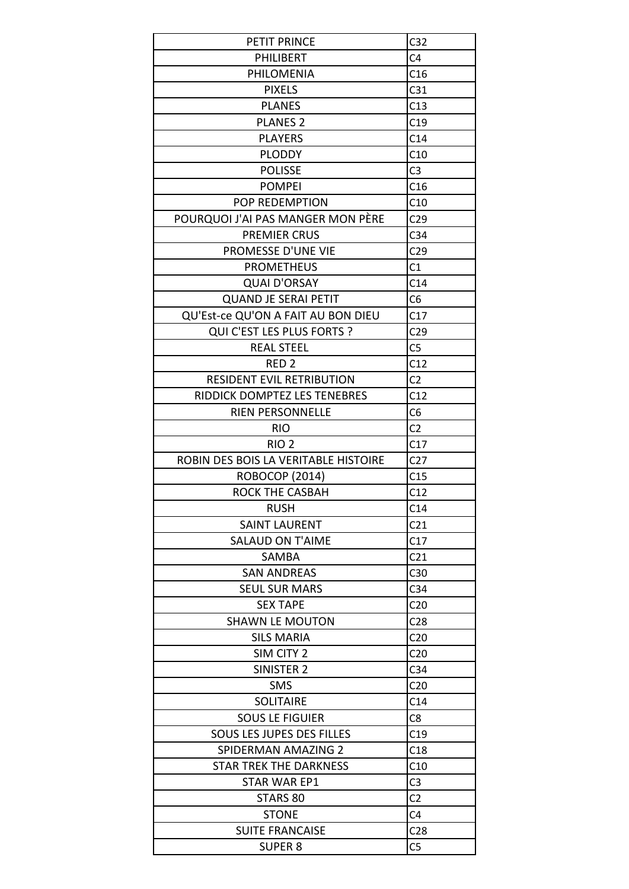| PETIT PRINCE                         | C <sub>32</sub> |
|--------------------------------------|-----------------|
| PHILIBERT                            | C4              |
| PHILOMENIA                           | C16             |
| <b>PIXELS</b>                        | C <sub>31</sub> |
| <b>PLANES</b>                        | C13             |
| <b>PLANES 2</b>                      | C19             |
| <b>PLAYERS</b>                       | C14             |
| <b>PLODDY</b>                        | C10             |
| <b>POLISSE</b>                       | C <sub>3</sub>  |
| <b>POMPEI</b>                        | C16             |
| POP REDEMPTION                       | C10             |
| POURQUOI J'AI PAS MANGER MON PÈRE    | C <sub>29</sub> |
| <b>PREMIER CRUS</b>                  | C <sub>34</sub> |
| PROMESSE D'UNE VIE                   | C <sub>29</sub> |
| <b>PROMETHEUS</b>                    | C1              |
| <b>QUAI D'ORSAY</b>                  | C14             |
| <b>QUAND JE SERAI PETIT</b>          | C <sub>6</sub>  |
| QU'Est-ce QU'ON A FAIT AU BON DIEU   | C17             |
| QUI C'EST LES PLUS FORTS ?           | C <sub>29</sub> |
| <b>REAL STEEL</b>                    | C <sub>5</sub>  |
| RED <sub>2</sub>                     | C12             |
| <b>RESIDENT EVIL RETRIBUTION</b>     | C <sub>2</sub>  |
| RIDDICK DOMPTEZ LES TENEBRES         | C12             |
| <b>RIEN PERSONNELLE</b>              | C <sub>6</sub>  |
| <b>RIO</b>                           | C <sub>2</sub>  |
| RIO <sub>2</sub>                     | C17             |
| ROBIN DES BOIS LA VERITABLE HISTOIRE | C <sub>27</sub> |
| ROBOCOP (2014)                       | C15             |
| <b>ROCK THE CASBAH</b>               | C12             |
| <b>RUSH</b>                          | C14             |
| <b>SAINT LAURENT</b>                 | C <sub>21</sub> |
|                                      |                 |
| <b>SALAUD ON T'AIME</b>              | C17             |
| SAMBA                                | C <sub>21</sub> |
| <b>SAN ANDREAS</b>                   | C30             |
| <b>SEUL SUR MARS</b>                 | C <sub>34</sub> |
| <b>SEX TAPE</b>                      | C <sub>20</sub> |
| <b>SHAWN LE MOUTON</b>               | C <sub>28</sub> |
| <b>SILS MARIA</b>                    | C <sub>20</sub> |
| SIM CITY 2                           | C <sub>20</sub> |
| SINISTER 2                           | C <sub>34</sub> |
| <b>SMS</b>                           | C <sub>20</sub> |
| <b>SOLITAIRE</b>                     | C <sub>14</sub> |
| <b>SOUS LE FIGUIER</b>               | C8              |
| <b>SOUS LES JUPES DES FILLES</b>     | C19             |
| SPIDERMAN AMAZING 2                  | C18             |
| STAR TREK THE DARKNESS               | C10             |
| <b>STAR WAR EP1</b>                  | C <sub>3</sub>  |
| STARS 80                             | C2              |
| <b>STONE</b>                         | C4              |
| <b>SUITE FRANCAISE</b>               | C <sub>28</sub> |
| <b>SUPER 8</b>                       | C <sub>5</sub>  |
|                                      |                 |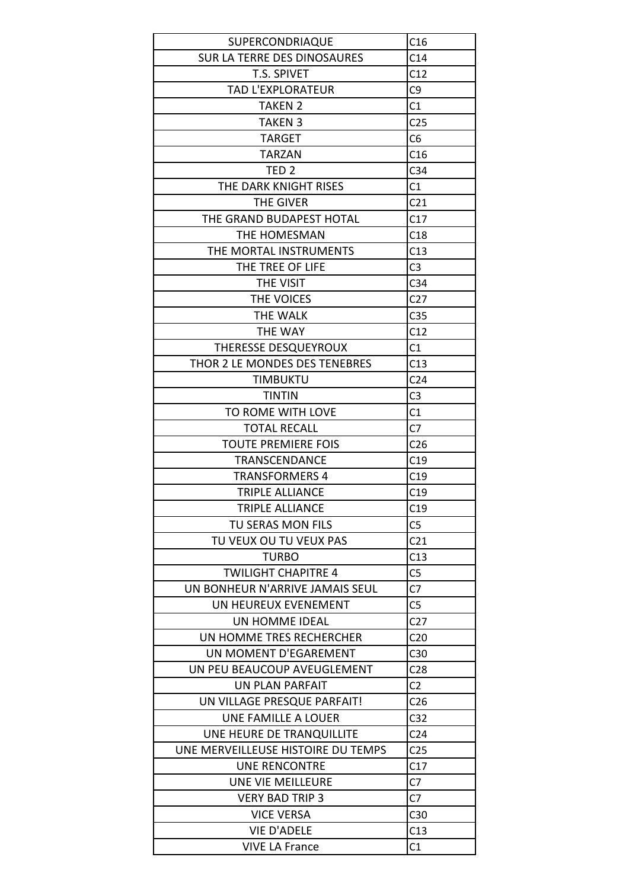| SUPERCONDRIAQUE                    | C16             |
|------------------------------------|-----------------|
| <b>SUR LA TERRE DES DINOSAURES</b> | C14             |
| T.S. SPIVET                        | C12             |
| TAD L'EXPLORATEUR                  | C <sub>9</sub>  |
| <b>TAKEN 2</b>                     | C1              |
| <b>TAKEN 3</b>                     | C <sub>25</sub> |
| <b>TARGET</b>                      | C6              |
| <b>TARZAN</b>                      | C16             |
| TED <sub>2</sub>                   | C <sub>34</sub> |
| THE DARK KNIGHT RISES              | C1              |
| THE GIVER                          | C <sub>21</sub> |
| THE GRAND BUDAPEST HOTAL           | C17             |
| THE HOMESMAN                       | C18             |
| THE MORTAL INSTRUMENTS             | C13             |
|                                    |                 |
| THE TREE OF LIFE                   | C <sub>3</sub>  |
| THE VISIT                          | C <sub>34</sub> |
| THE VOICES                         | C <sub>27</sub> |
| <b>THE WALK</b>                    | C <sub>35</sub> |
| THE WAY                            | C12             |
| THERESSE DESQUEYROUX               | C1              |
| THOR 2 LE MONDES DES TENEBRES      | C13             |
| TIMBUKTU                           | C <sub>24</sub> |
| <b>TINTIN</b>                      | C <sub>3</sub>  |
| TO ROME WITH LOVE                  | C1              |
| <b>TOTAL RECALL</b>                | C <sub>7</sub>  |
| <b>TOUTE PREMIERE FOIS</b>         | C <sub>26</sub> |
| <b>TRANSCENDANCE</b>               | C19             |
| <b>TRANSFORMERS 4</b>              | C19             |
| <b>TRIPLE ALLIANCE</b>             | C19             |
| TRIPLE ALLIANCE                    | C19             |
| TU SERAS MON FILS                  | C <sub>5</sub>  |
| TU VEUX OU TU VEUX PAS             | C <sub>21</sub> |
| <b>TURBO</b>                       | C13             |
| <b>TWILIGHT CHAPITRE 4</b>         | C <sub>5</sub>  |
| UN BONHEUR N'ARRIVE JAMAIS SEUL    | C7              |
| UN HEUREUX EVENEMENT               | C <sub>5</sub>  |
| UN HOMME IDEAL                     | C <sub>27</sub> |
| UN HOMME TRES RECHERCHER           | C <sub>20</sub> |
| UN MOMENT D'EGAREMENT              | C <sub>30</sub> |
| UN PEU BEAUCOUP AVEUGLEMENT        | C <sub>28</sub> |
| UN PLAN PARFAIT                    | C <sub>2</sub>  |
| UN VILLAGE PRESQUE PARFAIT!        | C <sub>26</sub> |
| UNE FAMILLE A LOUER                | C <sub>32</sub> |
| UNE HEURE DE TRANQUILLITE          | C <sub>24</sub> |
| UNE MERVEILLEUSE HISTOIRE DU TEMPS | C <sub>25</sub> |
| <b>UNE RENCONTRE</b>               | C17             |
| UNE VIE MEILLEURE                  | C7              |
| <b>VERY BAD TRIP 3</b>             | C7              |
| <b>VICE VERSA</b>                  | C30             |
| <b>VIE D'ADELE</b>                 |                 |
|                                    | C13             |
| <b>VIVE LA France</b>              | C1              |